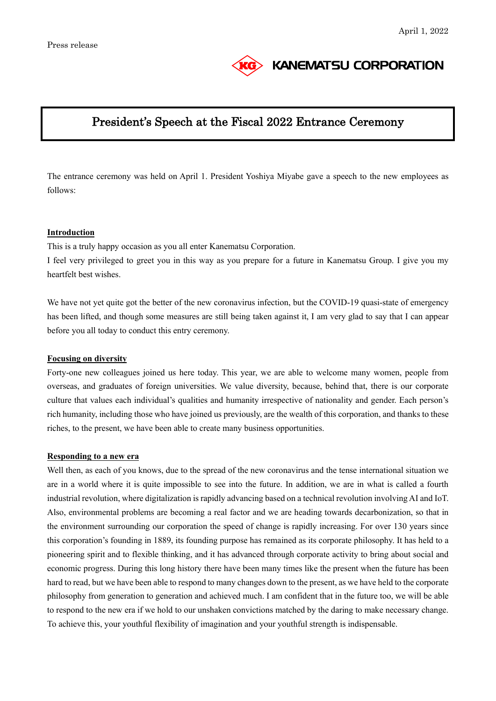

# **KANEMATSU CORPORATION**

# President's Speech at the Fiscal 2022 Entrance Ceremony

The entrance ceremony was held on April 1. President Yoshiya Miyabe gave a speech to the new employees as follows:

### **Introduction**

This is a truly happy occasion as you all enter Kanematsu Corporation.

I feel very privileged to greet you in this way as you prepare for a future in Kanematsu Group. I give you my heartfelt best wishes.

We have not yet quite got the better of the new coronavirus infection, but the COVID-19 quasi-state of emergency has been lifted, and though some measures are still being taken against it, I am very glad to say that I can appear before you all today to conduct this entry ceremony.

#### **Focusing on diversity**

Forty-one new colleagues joined us here today. This year, we are able to welcome many women, people from overseas, and graduates of foreign universities. We value diversity, because, behind that, there is our corporate culture that values each individual's qualities and humanity irrespective of nationality and gender. Each person's rich humanity, including those who have joined us previously, are the wealth of this corporation, and thanks to these riches, to the present, we have been able to create many business opportunities.

#### **Responding to a new era**

Well then, as each of you knows, due to the spread of the new coronavirus and the tense international situation we are in a world where it is quite impossible to see into the future. In addition, we are in what is called a fourth industrial revolution, where digitalization is rapidly advancing based on a technical revolution involving AI and IoT. Also, environmental problems are becoming a real factor and we are heading towards decarbonization, so that in the environment surrounding our corporation the speed of change is rapidly increasing. For over 130 years since this corporation's founding in 1889, its founding purpose has remained as its corporate philosophy. It has held to a pioneering spirit and to flexible thinking, and it has advanced through corporate activity to bring about social and economic progress. During this long history there have been many times like the present when the future has been hard to read, but we have been able to respond to many changes down to the present, as we have held to the corporate philosophy from generation to generation and achieved much. I am confident that in the future too, we will be able to respond to the new era if we hold to our unshaken convictions matched by the daring to make necessary change. To achieve this, your youthful flexibility of imagination and your youthful strength is indispensable.